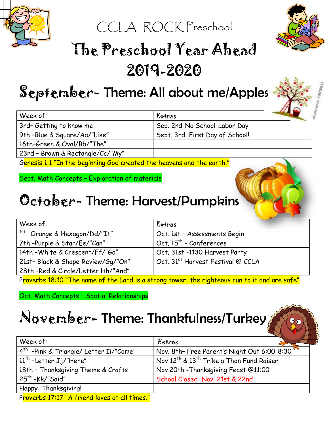

CCLA ROCK Preschool



# The Preschool Year Ahead 2019-2020

### September- Theme: All about me/Apples

| Week of:                         | Extras                         |  |
|----------------------------------|--------------------------------|--|
| 3rd- Getting to know me          | Sep. 2nd-No School-Labor Day   |  |
| 9th -Blue & Square/Aa/"Like"     | Sept. 3rd First Day of School! |  |
| 16th-Green & Oval/Bb/"The"       |                                |  |
| 23rd - Brown & Rectangle/Cc/"My" |                                |  |

Genesis 1:1 "In the beginning God created the heavens and the earth."

Sept. Math Concepts – Exploration of materials

### October-Theme: Harvest/Pumpkins

| Week of:                                | Extras                                        |
|-----------------------------------------|-----------------------------------------------|
| <sup>1st</sup> Orange & Hexagon/Dd/"It" | Oct. 1st - Assessments Begin                  |
| 7th-Purple & Star/Ee/"Can"              | Oct. 15 <sup>th</sup> - Conferences           |
| 14th - White & Crescent/Ff/"Go"         | Oct. 31st -1130 Harvest Party                 |
| 21st- Black & Shape Review/Gq/"On"      | Oct. 31 <sup>st</sup> Harvest Festival @ CCLA |
| 28th -Red & Circle/Letter Hh/"And"      |                                               |
|                                         |                                               |

Proverbs 18:10 "The name of the Lord is a strong tower: the righteous run to it and are safe"

Oct. Math Concepts – Spatial Relationships

#### November-Theme: Thankfulness/Turkey

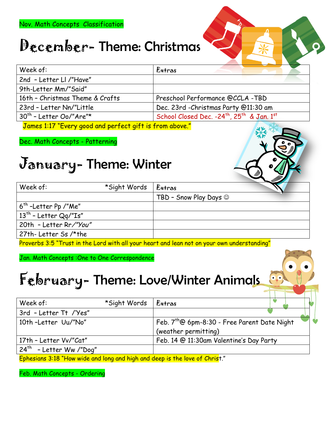### December-Theme: Christmas

| Week of:                        | Extras                                                             |
|---------------------------------|--------------------------------------------------------------------|
| 2nd - Letter Ll /"Have"         |                                                                    |
| 9th-Letter Mm/"Said"            |                                                                    |
| 16th - Christmas Theme & Crafts | Preschool Performance @CCLA -TBD                                   |
| 23rd - Letter Nn/"Little        | Dec. 23rd - Christmas Party @11:30 am                              |
| $30th$ - Letter Oo/"Are"*       | School Closed Dec. -24 <sup>th</sup> , 25 <sup>th</sup> & Jan. 1st |

James 1:17 "Every good and perfect gift is from above."

Dec. Math Concepts - Patterning

### January- Theme: Winter

|                         |              |                                     | - 550 - 750 |
|-------------------------|--------------|-------------------------------------|-------------|
| Week of:                | *Sight Words | Extras                              |             |
|                         |              | TBD - Snow Play Days $\circledcirc$ |             |
| $6th$ -Letter Pp /"Me"  |              |                                     |             |
| $13th$ - Letter Qq/"Is" |              |                                     |             |
| 20th - Letter Rr/"You"  |              |                                     |             |
| 27th- Letter Ss /*the   |              |                                     |             |

Proverbs 3:5 "Trust in the Lord with all your heart and lean not on your own understanding"

Jan. Math Concepts :One to One Correspondence

### February- Theme: Love/Winter Animals

| Week of:                                                                                                              | *Sight Words | Extras                                                   |  |
|-----------------------------------------------------------------------------------------------------------------------|--------------|----------------------------------------------------------|--|
| 3rd - Letter Tt /'Yes"                                                                                                |              |                                                          |  |
| 10th-Letter Uu/"No"                                                                                                   |              | Feb. 7 <sup>th</sup> @ 6pm-8:30 - Free Parent Date Night |  |
|                                                                                                                       |              | (weather permitting)                                     |  |
| 17th - Letter Vv/"Cat"                                                                                                |              | Feb. 14 @ 11:30am Valentine's Day Party                  |  |
| $24^{th}$<br>- Letter Ww /"Dog"                                                                                       |              |                                                          |  |
| <u>Fisher Sachul in Italian in the sale of the same of the same of the same of the same of the same of the same o</u> |              |                                                          |  |

Ephesians 3:18 "How wide and long and high and deep is the love of Christ."

Feb. Math Concepts - Ordering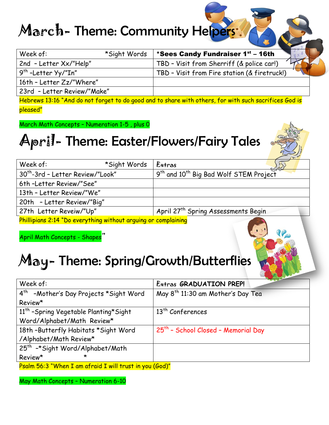#### March-Theme: Community Helpers:

| Week of:                          | *Sight Words | *Sees Candy Fundraiser 1 <sup>st</sup> – 16th |
|-----------------------------------|--------------|-----------------------------------------------|
| 2nd - Letter Xx/"Help"            |              | TBD - Visit from Sherriff (& police car!)     |
| . 9 <sup>th</sup> -Letter Yy/"In" |              | TBD - Visit from Fire station (& firetruck!)  |
| 16th - Letter Zz/"Where"          |              |                                               |
| 23rd - Letter Review/"Make"       |              |                                               |

Hebrews 13:16 "And do not forget to do good and to share with others, for with such sacrifices God is pleased"

March Math Concepts – Numeration 1-5 , plus 0

### April- Theme: Easter/Flowers/Fairy Tales



| Week of:                                                       | *Sight Words | $E^*$ Extras                                                   |
|----------------------------------------------------------------|--------------|----------------------------------------------------------------|
| 30 <sup>th</sup> -3rd - Letter Review/"Look"                   |              | 9 <sup>th</sup> and 10 <sup>th</sup> Big Bad Wolf STEM Project |
| 6th -Letter Review/"See"                                       |              |                                                                |
| 13th - Letter Review/"We"                                      |              |                                                                |
| 20th - Letter Review/"Big"                                     |              |                                                                |
| 27th Letter Reveiw/"Up"                                        |              | April 27 <sup>th</sup> Spring Assessments Begin                |
| Phillipians 2:14 "Do everything without arguing or complaining |              |                                                                |

April Math Concepts - Shapes"

### May- Theme: Spring/Growth/Butterflies

| Week of:                                                     | <b>Extras GRADUATION PREP!</b>                  |
|--------------------------------------------------------------|-------------------------------------------------|
| 4 <sup>th</sup> -Mother's Day Projects *Sight Word           | May 8 <sup>th</sup> 11:30 am Mother's Day Tea   |
| Review*                                                      |                                                 |
| 11 <sup>th</sup> -Spring Vegetable Planting*Sight            | 13 <sup>th</sup> Conferences                    |
| Word/Alphabet/Math Review*                                   |                                                 |
| 18th -Butterfly Habitats *Sight Word                         | 25 <sup>th</sup> - School Closed - Memorial Day |
| /Alphabet/Math Review*                                       |                                                 |
| 25 <sup>th</sup> -*Sight Word/Alphabet/Math                  |                                                 |
| $\star$<br>Review*                                           |                                                 |
| Dash $54.2$ "When I am shocid I will twent in you $(C_8d)^n$ |                                                 |

<u>L am afraid I will trust in you (God)"</u>

May Math Concepts – Numeration 6-10